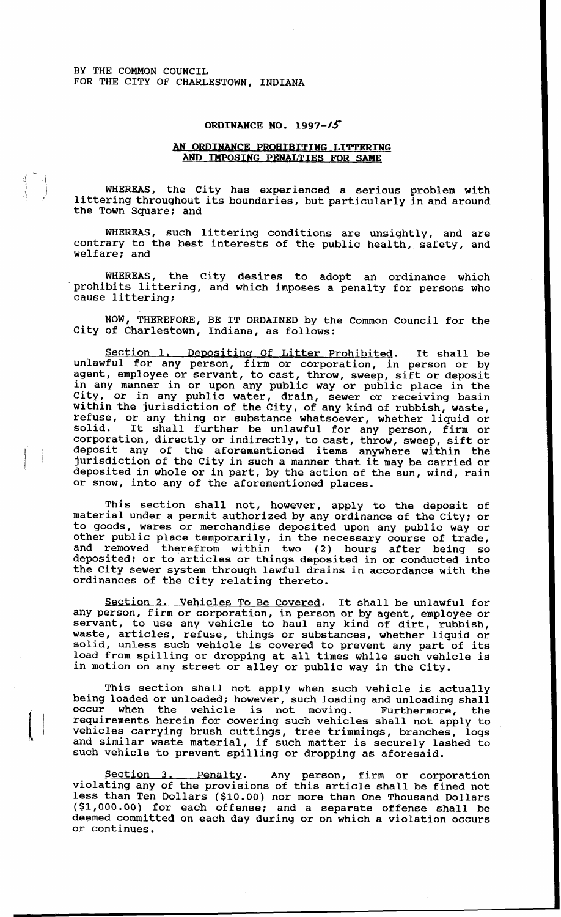BY THE COMMON COUNCIL FOR THE CITY OF CHARLESTOWN, INDIANA

## **ORDINANCE NO. 1997-15**

## **AN ORDINANCE PROHIBITING LITTERING**  *AND* **IMPOSING PENALTIES FOR** *SAME*

WHEREAS, the City has experienced a serious problem with littering throughout its boundaries, but particularly in and around the Town Square; and

WHEREAS, such littering conditions are unsightly, and are contrary to the best interests of the public health, safety, and welfare; and

WHEREAS, the City desires to adopt an ordinance which prohibits littering, and which imposes a penalty for persons who cause littering;

NOW, THEREFORE, BE IT ORDAINED by the Common Council for the City of Charlestown, Indiana, as follows:

Section 1. Depositing Of Litter Prohibited. It shall be unlawful for any person, firm or corporation, in person or by agent, employee or servant, to cast, throw, sweep, sift or deposit in any manner in or upon any public way or public place in the City, or in any public water, drain, sewer or receiving basin within the jurisdiction of the City, of any kind of rubbish, waste, refuse, or any thing or substance whatsoever, whether liquid or solid. It shall further be unlawful for any person, firm or corporation, directly or indirectly, to cast, throw, sweep, sift or deposit any of the aforementioned items anywhere within the jurisdiction of the City in such a manner that it may be carried or deposited in whole or in part, by the action of the sun, wind, rain or snow, into any of the aforementioned places.

This section shall not, however, apply to the deposit of material under a permit authorized by any ordinance of the city; or to goods, wares or merchandise deposited upon any public way or other public place temporarily, in the necessary course of trade, and removed therefrom within two (2) hours after being so deposited; or to articles or things deposited in or conducted into the City sewer system through lawful drains in accordance with the ordinances of the City relating thereto.

Section 2. Vehicles To Be Covered. It shall be unlawful for any person, firm or corporation, in person or by agent, employee or servant, to use any vehicle to haul any kind of dirt, rubbish, waste, articles, refuse, things or substances, whether liquid or solid, unless such vehicle is covered to prevent any part of its load from spilling or dropping at all times while such vehicle is in motion on any street or alley or public way in the City.

This section shall not apply when such vehicle is actually being loaded or unloaded; however, such loading and unloading shall occur when the vehicle is not moving. Furthermore, the when the vehicle is not moving. Furthermore, the requirements herein for covering such vehicles shall not apply to vehicles carrying brush cuttings, tree trimmings, branches, logs and similar waste material, if such matter is securely lashed to such vehicle to prevent spilling or dropping as aforesaid.

Section **3.** Penalty. Any person, firm or corporation violating any of the provisions of this article shall be fined not less than Ten Dollars (\$10.00) nor more than One Thousand Dollars (\$1,000.00) for each offense; and a separate offense shall be deemed committed on each day during or on which a violation occurs or continues.